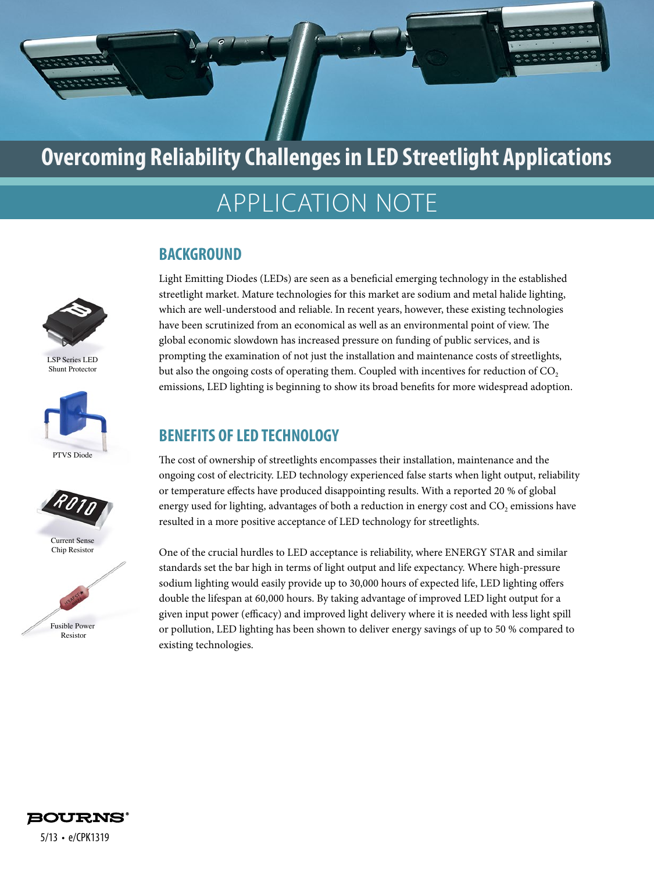

# APPLICATION NOTE

### **BACKGROUND**

LSP Series LED Shunt Protector





Current Sense Chip Resistor



Light Emitting Diodes (LEDs) are seen as a beneficial emerging technology in the established streetlight market. Mature technologies for this market are sodium and metal halide lighting, which are well-understood and reliable. In recent years, however, these existing technologies have been scrutinized from an economical as well as an environmental point of view. The global economic slowdown has increased pressure on funding of public services, and is prompting the examination of not just the installation and maintenance costs of streetlights, but also the ongoing costs of operating them. Coupled with incentives for reduction of  $CO<sub>2</sub>$ emissions, LED lighting is beginning to show its broad benefits for more widespread adoption.

## **BENEFITS OF LED TECHNOLOGY**

The cost of ownership of streetlights encompasses their installation, maintenance and the ongoing cost of electricity. LED technology experienced false starts when light output, reliability or temperature effects have produced disappointing results. With a reported 20 % of global energy used for lighting, advantages of both a reduction in energy cost and CO<sub>2</sub> emissions have resulted in a more positive acceptance of LED technology for streetlights.

One of the crucial hurdles to LED acceptance is reliability, where ENERGY STAR and similar standards set the bar high in terms of light output and life expectancy. Where high-pressure sodium lighting would easily provide up to 30,000 hours of expected life, LED lighting offers double the lifespan at 60,000 hours. By taking advantage of improved LED light output for a given input power (efficacy) and improved light delivery where it is needed with less light spill or pollution, LED lighting has been shown to deliver energy savings of up to 50 % compared to existing technologies.

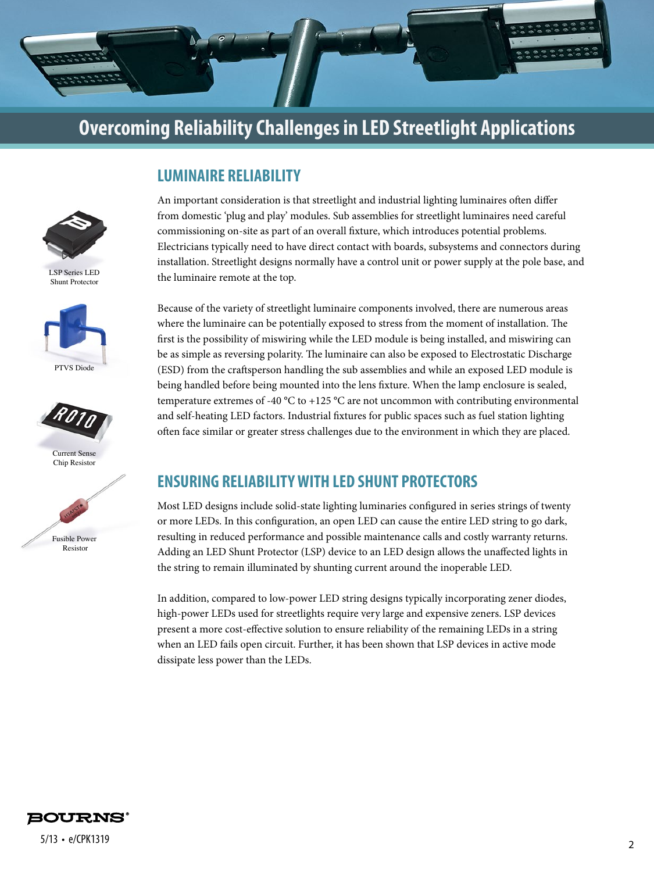



LSP Series LED Shunt Protector





Current Sense Chip Resistor



## **LUMINAIRE RELIABILITY**

An important consideration is that streetlight and industrial lighting luminaires often differ from domestic 'plug and play' modules. Sub assemblies for streetlight luminaires need careful commissioning on-site as part of an overall fixture, which introduces potential problems. Electricians typically need to have direct contact with boards, subsystems and connectors during installation. Streetlight designs normally have a control unit or power supply at the pole base, and the luminaire remote at the top.

Because of the variety of streetlight luminaire components involved, there are numerous areas where the luminaire can be potentially exposed to stress from the moment of installation. The first is the possibility of miswiring while the LED module is being installed, and miswiring can be as simple as reversing polarity. The luminaire can also be exposed to Electrostatic Discharge (ESD) from the craftsperson handling the sub assemblies and while an exposed LED module is being handled before being mounted into the lens fixture. When the lamp enclosure is sealed, temperature extremes of -40  $^{\circ}$ C to +125  $^{\circ}$ C are not uncommon with contributing environmental and self-heating LED factors. Industrial fixtures for public spaces such as fuel station lighting often face similar or greater stress challenges due to the environment in which they are placed.

#### **ENSURING RELIABILITY WITH LED SHUNT PROTECTORS**

Most LED designs include solid-state lighting luminaries configured in series strings of twenty or more LEDs. In this configuration, an open LED can cause the entire LED string to go dark, resulting in reduced performance and possible maintenance calls and costly warranty returns. Adding an LED Shunt Protector (LSP) device to an LED design allows the unaffected lights in the string to remain illuminated by shunting current around the inoperable LED.

In addition, compared to low-power LED string designs typically incorporating zener diodes, high-power LEDs used for streetlights require very large and expensive zeners. LSP devices present a more cost-effective solution to ensure reliability of the remaining LEDs in a string when an LED fails open circuit. Further, it has been shown that LSP devices in active mode dissipate less power than the LEDs.

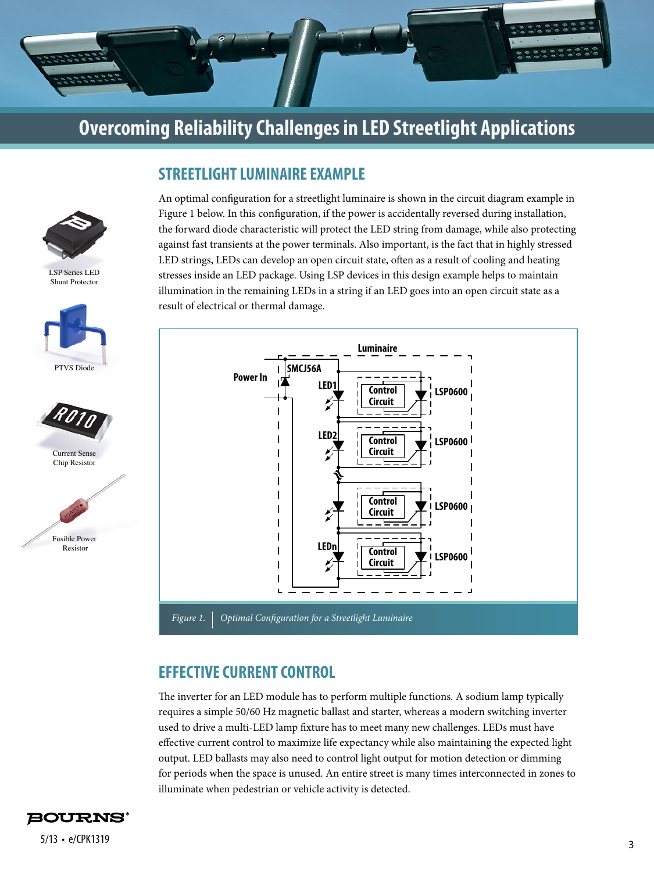

**STREETLIGHT LUMINAIRE EXAMPLE**



LSP Series LED Shunt Protector





Current Sense Chip Resistor



An optimal configuration for a streetlight luminaire is shown in the circuit diagram example in Figure 1 below. In this configuration, if the power is accidentally reversed during installation, the forward diode characteristic will protect the LED string from damage, while also protecting against fast transients at the power terminals. Also important, is the fact that in highly stressed LED strings, LEDs can develop an open circuit state, often as a result of cooling and heating stresses inside an LED package. Using LSP devices in this design example helps to maintain illumination in the remaining LEDs in a string if an LED goes into an open circuit state as a result of electrical or thermal damage.



### **EFFECTIVE CURRENT CONTROL**

The inverter for an LED module has to perform multiple functions. A sodium lamp typically requires a simple 50/60 Hz magnetic ballast and starter, whereas a modern switching inverter used to drive a multi-LED lamp fixture has to meet many new challenges. LEDs must have effective current control to maximize life expectancy while also maintaining the expected light output. LED ballasts may also need to control light output for motion detection or dimming for periods when the space is unused. An entire street is many times interconnected in zones to illuminate when pedestrian or vehicle activity is detected.

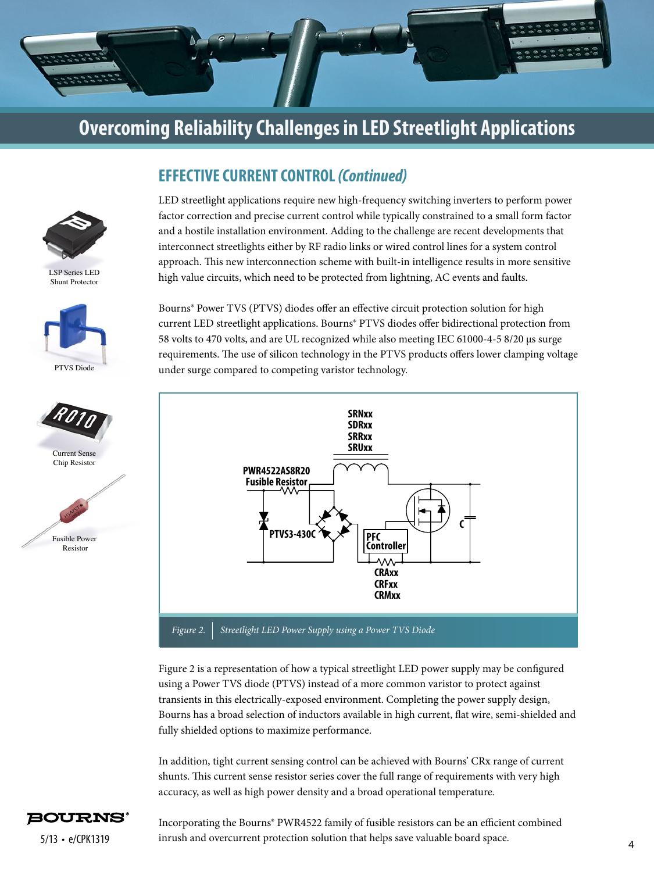

**EFFECTIVE CURRENT CONTROL** *(Continued)*

LSP Series LED Shunt Protector







LED streetlight applications require new high-frequency switching inverters to perform power factor correction and precise current control while typically constrained to a small form factor and a hostile installation environment. Adding to the challenge are recent developments that interconnect streetlights either by RF radio links or wired control lines for a system control approach. This new interconnection scheme with built-in intelligence results in more sensitive high value circuits, which need to be protected from lightning, AC events and faults.

Bourns® Power TVS (PTVS) diodes offer an effective circuit protection solution for high current LED streetlight applications. Bourns® PTVS diodes offer bidirectional protection from 58 volts to 470 volts, and are UL recognized while also meeting IEC 61000-4-5 8/20 μs surge requirements. The use of silicon technology in the PTVS products offers lower clamping voltage under surge compared to competing varistor technology.



Figure 2 is a representation of how a typical streetlight LED power supply may be configured using a Power TVS diode (PTVS) instead of a more common varistor to protect against transients in this electrically-exposed environment. Completing the power supply design, Bourns has a broad selection of inductors available in high current, flat wire, semi-shielded and fully shielded options to maximize performance.

In addition, tight current sensing control can be achieved with Bourns' CRx range of current shunts. This current sense resistor series cover the full range of requirements with very high accuracy, as well as high power density and a broad operational temperature.



<sup>4</sup> 5/13 • e/CPK1319 inrush and overcurrent protection solution that helps save valuable board space. Incorporating the Bourns® PWR4522 family of fusible resistors can be an efficient combined